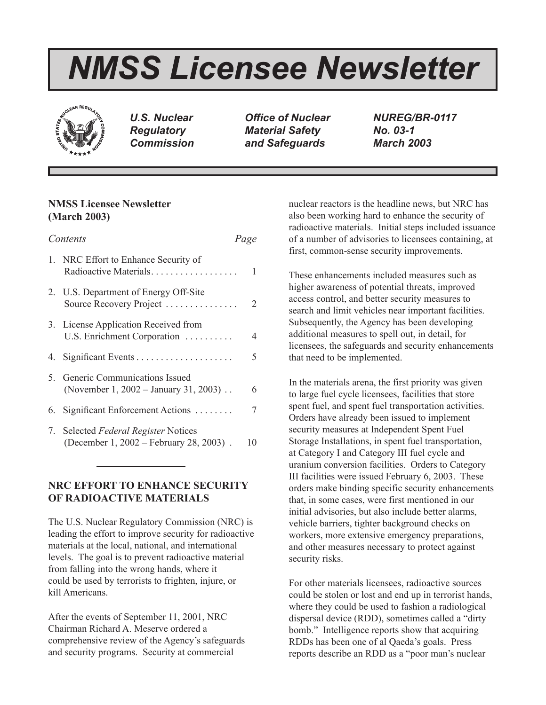# *NMSS Licensee Newsletter*



*U.S. Nuclear Regulatory Commission*

*Office of Nuclear Material Safety and Safeguards*

*NUREG/BR-0117 No. 03-1 March 2003*

# **NMSS Licensee Newsletter (March 2003)**

| Contents |                                                                                 | Page |
|----------|---------------------------------------------------------------------------------|------|
|          | 1. NRC Effort to Enhance Security of<br>Radioactive Materials                   | 1    |
|          | 2. U.S. Department of Energy Off-Site<br>Source Recovery Project                | 2    |
|          | 3. License Application Received from<br>U.S. Enrichment Corporation             | 4    |
|          |                                                                                 | 5.   |
|          | 5. Generic Communications Issued<br>(November 1, 2002 – January 31, 2003).      | 6    |
|          | 6. Significant Enforcement Actions                                              |      |
|          | 7. Selected Federal Register Notices<br>(December 1, 2002 – February 28, 2003). | 10   |

# **NRC EFFORT TO ENHANCE SECURITY OF RADIOACTIVE MATERIALS**

The U.S. Nuclear Regulatory Commission (NRC) is leading the effort to improve security for radioactive materials at the local, national, and international levels. The goal is to prevent radioactive material from falling into the wrong hands, where it could be used by terrorists to frighten, injure, or kill Americans.

After the events of September 11, 2001, NRC Chairman Richard A. Meserve ordered a comprehensive review of the Agency's safeguards and security programs. Security at commercial

nuclear reactors is the headline news, but NRC has also been working hard to enhance the security of radioactive materials. Initial steps included issuance of a number of advisories to licensees containing, at first, common-sense security improvements.

These enhancements included measures such as higher awareness of potential threats, improved access control, and better security measures to search and limit vehicles near important facilities. Subsequently, the Agency has been developing additional measures to spell out, in detail, for licensees, the safeguards and security enhancements that need to be implemented.

In the materials arena, the first priority was given to large fuel cycle licensees, facilities that store spent fuel, and spent fuel transportation activities. Orders have already been issued to implement security measures at Independent Spent Fuel Storage Installations, in spent fuel transportation, at Category I and Category III fuel cycle and uranium conversion facilities. Orders to Category III facilities were issued February 6, 2003. These orders make binding specific security enhancements that, in some cases, were first mentioned in our initial advisories, but also include better alarms, vehicle barriers, tighter background checks on workers, more extensive emergency preparations, and other measures necessary to protect against security risks.

For other materials licensees, radioactive sources could be stolen or lost and end up in terrorist hands, where they could be used to fashion a radiological dispersal device (RDD), sometimes called a "dirty bomb." Intelligence reports show that acquiring RDDs has been one of al Qaeda's goals. Press reports describe an RDD as a "poor man's nuclear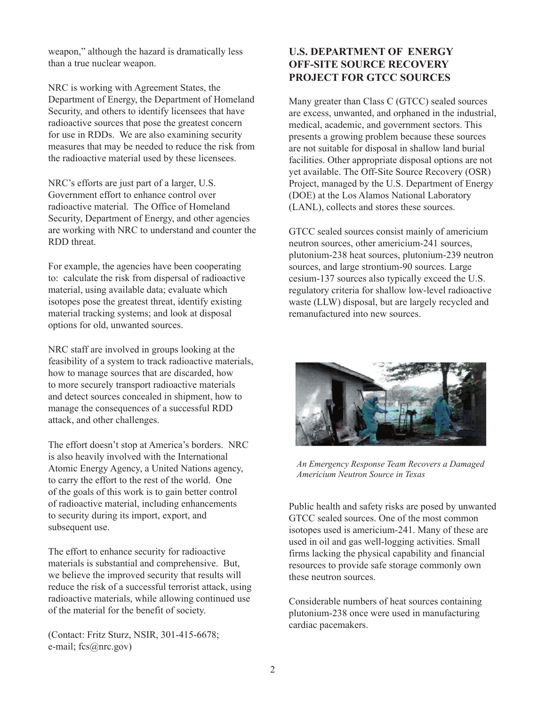weapon," although the hazard is dramatically less than a true nuclear weapon.

NRC is working with Agreement States, the Department of Energy, the Department of Homeland Security, and others to identify licensees that have radioactive sources that pose the greatest concern for use in RDDs. We are also examining security measures that may be needed to reduce the risk from the radioactive material used by these licensees.

NRC's efforts are just part of a larger, U.S. Government effort to enhance control over radioactive material. The Office of Homeland Security, Department of Energy, and other agencies are working with NRC to understand and counter the RDD threat.

For example, the agencies have been cooperating to: calculate the risk from dispersal of radioactive material, using available data; evaluate which isotopes pose the greatest threat, identify existing material tracking systems; and look at disposal options for old, unwanted sources.

NRC staff are involved in groups looking at the feasibility of a system to track radioactive materials, how to manage sources that are discarded, how to more securely transport radioactive materials and detect sources concealed in shipment, how to manage the consequences of a successful RDD attack, and other challenges.

The effort doesn't stop at America's borders. NRC is also heavily involved with the International Atomic Energy Agency, a United Nations agency, to carry the effort to the rest of the world. One of the goals of this work is to gain better control of radioactive material, including enhancements to security during its import, export, and subsequent use.

The effort to enhance security for radioactive materials is substantial and comprehensive. But, we believe the improved security that results will reduce the risk of a successful terrorist attack, using radioactive materials, while allowing continued use of the material for the benefit of society.

(Contact: Fritz Sturz, NSIR, 301-415-6678; e-mail; fcs@nrc.gov)

# **U.S. DEPARTMENT OF ENERGY OFF-SITE SOURCE RECOVERY PROJECT FOR GTCC SOURCES**

Many greater than Class C (GTCC) sealed sources are excess, unwanted, and orphaned in the industrial, medical, academic, and government sectors. This presents a growing problem because these sources are not suitable for disposal in shallow land burial facilities. Other appropriate disposal options are not yet available. The Off-Site Source Recovery (OSR) Project, managed by the U.S. Department of Energy (DOE) at the Los Alamos National Laboratory (LANL), collects and stores these sources.

GTCC sealed sources consist mainly of americium neutron sources, other americium-241 sources, plutonium-238 heat sources, plutonium-239 neutron sources, and large strontium-90 sources. Large cesium-137 sources also typically exceed the U.S. regulatory criteria for shallow low-level radioactive waste (LLW) disposal, but are largely recycled and remanufactured into new sources.



*An Emergency Response Team Recovers a Damaged Americium Neutron Source in Texas*

Public health and safety risks are posed by unwanted GTCC sealed sources. One of the most common isotopes used is americium-241. Many of these are used in oil and gas well-logging activities. Small firms lacking the physical capability and financial resources to provide safe storage commonly own these neutron sources.

Considerable numbers of heat sources containing plutonium-238 once were used in manufacturing cardiac pacemakers.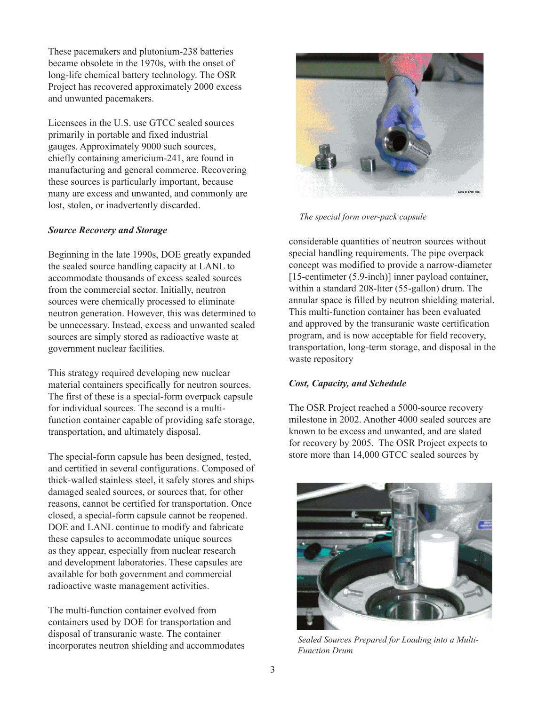These pacemakers and plutonium-238 batteries became obsolete in the 1970s, with the onset of long-life chemical battery technology. The OSR Project has recovered approximately 2000 excess and unwanted pacemakers.

Licensees in the U.S. use GTCC sealed sources primarily in portable and fixed industrial gauges. Approximately 9000 such sources, chiefly containing americium-241, are found in manufacturing and general commerce. Recovering these sources is particularly important, because many are excess and unwanted, and commonly are lost, stolen, or inadvertently discarded.

## *Source Recovery and Storage*

Beginning in the late 1990s, DOE greatly expanded the sealed source handling capacity at LANL to accommodate thousands of excess sealed sources from the commercial sector. Initially, neutron sources were chemically processed to eliminate neutron generation. However, this was determined to be unnecessary. Instead, excess and unwanted sealed sources are simply stored as radioactive waste at government nuclear facilities.

This strategy required developing new nuclear material containers specifically for neutron sources. The first of these is a special-form overpack capsule for individual sources. The second is a multifunction container capable of providing safe storage, transportation, and ultimately disposal.

The special-form capsule has been designed, tested, and certified in several configurations. Composed of thick-walled stainless steel, it safely stores and ships damaged sealed sources, or sources that, for other reasons, cannot be certified for transportation. Once closed, a special-form capsule cannot be reopened. DOE and LANL continue to modify and fabricate these capsules to accommodate unique sources as they appear, especially from nuclear research and development laboratories. These capsules are available for both government and commercial radioactive waste management activities.

The multi-function container evolved from containers used by DOE for transportation and disposal of transuranic waste. The container incorporates neutron shielding and accommodates



*The special form over-pack capsule*

considerable quantities of neutron sources without special handling requirements. The pipe overpack concept was modified to provide a narrow-diameter [15-centimeter (5.9-inch)] inner payload container, within a standard 208-liter (55-gallon) drum. The annular space is filled by neutron shielding material. This multi-function container has been evaluated and approved by the transuranic waste certification program, and is now acceptable for field recovery, transportation, long-term storage, and disposal in the waste repository

# *Cost, Capacity, and Schedule*

The OSR Project reached a 5000-source recovery milestone in 2002. Another 4000 sealed sources are known to be excess and unwanted, and are slated for recovery by 2005. The OSR Project expects to store more than 14,000 GTCC sealed sources by



*Sealed Sources Prepared for Loading into a Multi-Function Drum*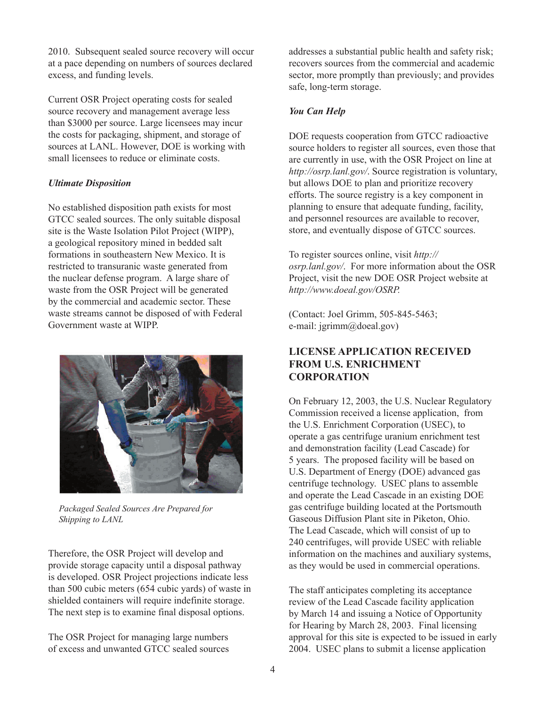2010. Subsequent sealed source recovery will occur at a pace depending on numbers of sources declared excess, and funding levels.

Current OSR Project operating costs for sealed source recovery and management average less than \$3000 per source. Large licensees may incur the costs for packaging, shipment, and storage of sources at LANL. However, DOE is working with small licensees to reduce or eliminate costs.

# *Ultimate Disposition*

No established disposition path exists for most GTCC sealed sources. The only suitable disposal site is the Waste Isolation Pilot Project (WIPP), a geological repository mined in bedded salt formations in southeastern New Mexico. It is restricted to transuranic waste generated from the nuclear defense program. A large share of waste from the OSR Project will be generated by the commercial and academic sector. These waste streams cannot be disposed of with Federal Government waste at WIPP.



*Packaged Sealed Sources Are Prepared for Shipping to LANL*

Therefore, the OSR Project will develop and provide storage capacity until a disposal pathway is developed. OSR Project projections indicate less than 500 cubic meters (654 cubic yards) of waste in shielded containers will require indefinite storage. The next step is to examine final disposal options.

The OSR Project for managing large numbers of excess and unwanted GTCC sealed sources addresses a substantial public health and safety risk; recovers sources from the commercial and academic sector, more promptly than previously; and provides safe, long-term storage.

## *You Can Help*

DOE requests cooperation from GTCC radioactive source holders to register all sources, even those that are currently in use, with the OSR Project on line at *http://osrp.lanl.gov/*. Source registration is voluntary, but allows DOE to plan and prioritize recovery efforts. The source registry is a key component in planning to ensure that adequate funding, facility, and personnel resources are available to recover, store, and eventually dispose of GTCC sources.

To register sources online, visit *http:// osrp.lanl.gov/*. For more information about the OSR Project, visit the new DOE OSR Project website at *http://www.doeal.gov/OSRP.*

(Contact: Joel Grimm, 505-845-5463; e-mail: jgrimm@doeal.gov)

# **LICENSE APPLICATION RECEIVED FROM U.S. ENRICHMENT CORPORATION**

On February 12, 2003, the U.S. Nuclear Regulatory Commission received a license application, from the U.S. Enrichment Corporation (USEC), to operate a gas centrifuge uranium enrichment test and demonstration facility (Lead Cascade) for 5 years. The proposed facility will be based on U.S. Department of Energy (DOE) advanced gas centrifuge technology. USEC plans to assemble and operate the Lead Cascade in an existing DOE gas centrifuge building located at the Portsmouth Gaseous Diffusion Plant site in Piketon, Ohio. The Lead Cascade, which will consist of up to 240 centrifuges, will provide USEC with reliable information on the machines and auxiliary systems, as they would be used in commercial operations.

The staff anticipates completing its acceptance review of the Lead Cascade facility application by March 14 and issuing a Notice of Opportunity for Hearing by March 28, 2003. Final licensing approval for this site is expected to be issued in early 2004. USEC plans to submit a license application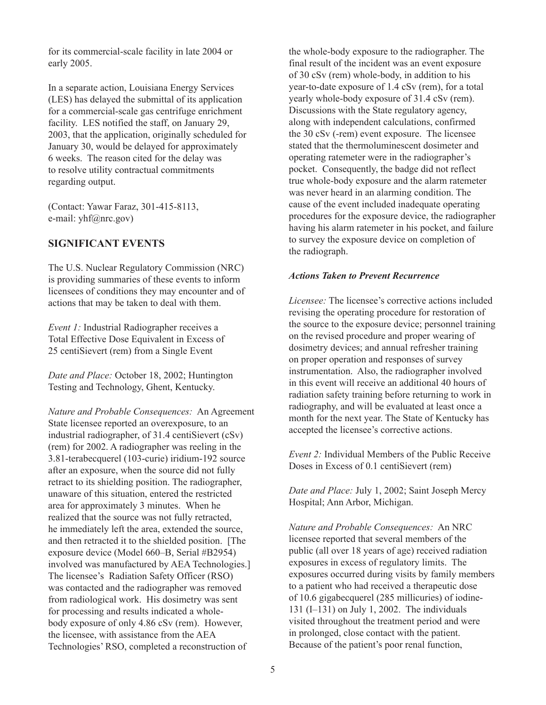for its commercial-scale facility in late 2004 or early 2005.

In a separate action, Louisiana Energy Services (LES) has delayed the submittal of its application for a commercial-scale gas centrifuge enrichment facility. LES notified the staff, on January 29, 2003, that the application, originally scheduled for January 30, would be delayed for approximately 6 weeks. The reason cited for the delay was to resolve utility contractual commitments regarding output.

(Contact: Yawar Faraz, 301-415-8113, e-mail: yhf@nrc.gov)

# **SIGNIFICANT EVENTS**

The U.S. Nuclear Regulatory Commission (NRC) is providing summaries of these events to inform licensees of conditions they may encounter and of actions that may be taken to deal with them.

*Event 1:* Industrial Radiographer receives a Total Effective Dose Equivalent in Excess of 25 centiSievert (rem) from a Single Event

*Date and Place:* October 18, 2002; Huntington Testing and Technology, Ghent, Kentucky.

*Nature and Probable Consequences:* An Agreement State licensee reported an overexposure, to an industrial radiographer, of 31.4 centiSievert (cSv) (rem) for 2002. A radiographer was reeling in the 3.81-terabecquerel (103-curie) iridium-192 source after an exposure, when the source did not fully retract to its shielding position. The radiographer, unaware of this situation, entered the restricted area for approximately 3 minutes. When he realized that the source was not fully retracted, he immediately left the area, extended the source, and then retracted it to the shielded position. [The exposure device (Model 660–B, Serial #B2954) involved was manufactured by AEA Technologies.] The licensee's Radiation Safety Officer (RSO) was contacted and the radiographer was removed from radiological work. His dosimetry was sent for processing and results indicated a wholebody exposure of only 4.86 cSv (rem). However, the licensee, with assistance from the AEA Technologies' RSO, completed a reconstruction of

the whole-body exposure to the radiographer. The final result of the incident was an event exposure of 30 cSv (rem) whole-body, in addition to his year-to-date exposure of 1.4 cSv (rem), for a total yearly whole-body exposure of 31.4 cSv (rem). Discussions with the State regulatory agency, along with independent calculations, confirmed the 30 cSv (-rem) event exposure. The licensee stated that the thermoluminescent dosimeter and operating ratemeter were in the radiographer's pocket. Consequently, the badge did not reflect true whole-body exposure and the alarm ratemeter was never heard in an alarming condition. The cause of the event included inadequate operating procedures for the exposure device, the radiographer having his alarm ratemeter in his pocket, and failure to survey the exposure device on completion of the radiograph.

## *Actions Taken to Prevent Recurrence*

*Licensee:* The licensee's corrective actions included revising the operating procedure for restoration of the source to the exposure device; personnel training on the revised procedure and proper wearing of dosimetry devices; and annual refresher training on proper operation and responses of survey instrumentation. Also, the radiographer involved in this event will receive an additional 40 hours of radiation safety training before returning to work in radiography, and will be evaluated at least once a month for the next year. The State of Kentucky has accepted the licensee's corrective actions.

*Event 2:* Individual Members of the Public Receive Doses in Excess of 0.1 centiSievert (rem)

*Date and Place:* July 1, 2002; Saint Joseph Mercy Hospital; Ann Arbor, Michigan.

*Nature and Probable Consequences:* An NRC licensee reported that several members of the public (all over 18 years of age) received radiation exposures in excess of regulatory limits. The exposures occurred during visits by family members to a patient who had received a therapeutic dose of 10.6 gigabecquerel (285 millicuries) of iodine-131 (I–131) on July 1, 2002. The individuals visited throughout the treatment period and were in prolonged, close contact with the patient. Because of the patient's poor renal function,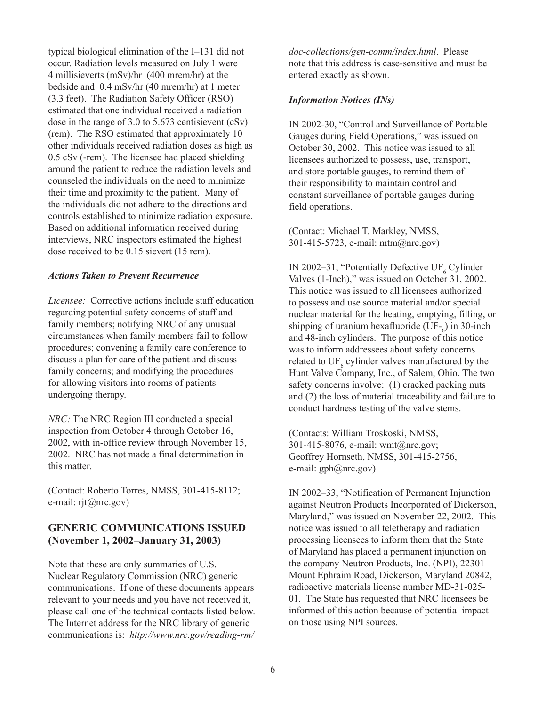typical biological elimination of the I–131 did not occur. Radiation levels measured on July 1 were 4 millisieverts (mSv)/hr (400 mrem/hr) at the bedside and 0.4 mSv/hr (40 mrem/hr) at 1 meter (3.3 feet). The Radiation Safety Officer (RSO) estimated that one individual received a radiation dose in the range of 3.0 to 5.673 centisievent (cSv) (rem). The RSO estimated that approximately 10 other individuals received radiation doses as high as 0.5 cSv (-rem). The licensee had placed shielding around the patient to reduce the radiation levels and counseled the individuals on the need to minimize their time and proximity to the patient. Many of the individuals did not adhere to the directions and controls established to minimize radiation exposure. Based on additional information received during interviews, NRC inspectors estimated the highest dose received to be 0.15 sievert (15 rem).

#### *Actions Taken to Prevent Recurrence*

*Licensee:* Corrective actions include staff education regarding potential safety concerns of staff and family members; notifying NRC of any unusual circumstances when family members fail to follow procedures; convening a family care conference to discuss a plan for care of the patient and discuss family concerns; and modifying the procedures for allowing visitors into rooms of patients undergoing therapy.

*NRC:* The NRC Region III conducted a special inspection from October 4 through October 16, 2002, with in-office review through November 15, 2002. NRC has not made a final determination in this matter.

(Contact: Roberto Torres, NMSS, 301-415-8112; e-mail: rjt@nrc.gov)

# **GENERIC COMMUNICATIONS ISSUED (November 1, 2002–January 31, 2003)**

Note that these are only summaries of U.S. Nuclear Regulatory Commission (NRC) generic communications. If one of these documents appears relevant to your needs and you have not received it, please call one of the technical contacts listed below. The Internet address for the NRC library of generic communications is: *http://www.nrc.gov/reading-rm/*

*doc-collections/gen-comm/index.html*. Please note that this address is case-sensitive and must be entered exactly as shown.

#### *Information Notices (INs)*

IN 2002-30, "Control and Surveillance of Portable Gauges during Field Operations," was issued on October 30, 2002. This notice was issued to all licensees authorized to possess, use, transport, and store portable gauges, to remind them of their responsibility to maintain control and constant surveillance of portable gauges during field operations.

(Contact: Michael T. Markley, NMSS, 301-415-5723, e-mail: mtm@nrc.gov)

IN 2002–31, "Potentially Defective  $\mathrm{UF}_6$  Cylinder Valves (1-Inch)," was issued on October 31, 2002. This notice was issued to all licensees authorized to possess and use source material and/or special nuclear material for the heating, emptying, filling, or shipping of uranium hexafluoride (UF- $_6$ ) in 30-inch and 48-inch cylinders. The purpose of this notice was to inform addressees about safety concerns related to  $\mathrm{UF}_6$  cylinder valves manufactured by the Hunt Valve Company, Inc., of Salem, Ohio. The two safety concerns involve: (1) cracked packing nuts and (2) the loss of material traceability and failure to conduct hardness testing of the valve stems.

(Contacts: William Troskoski, NMSS, 301-415-8076, e-mail: wmt@nrc.gov; Geoffrey Hornseth, NMSS, 301-415-2756, e-mail: gph@nrc.gov)

IN 2002–33, "Notification of Permanent Injunction against Neutron Products Incorporated of Dickerson, Maryland," was issued on November 22, 2002. This notice was issued to all teletherapy and radiation processing licensees to inform them that the State of Maryland has placed a permanent injunction on the company Neutron Products, Inc. (NPI), 22301 Mount Ephraim Road, Dickerson, Maryland 20842, radioactive materials license number MD-31-025- 01. The State has requested that NRC licensees be informed of this action because of potential impact on those using NPI sources.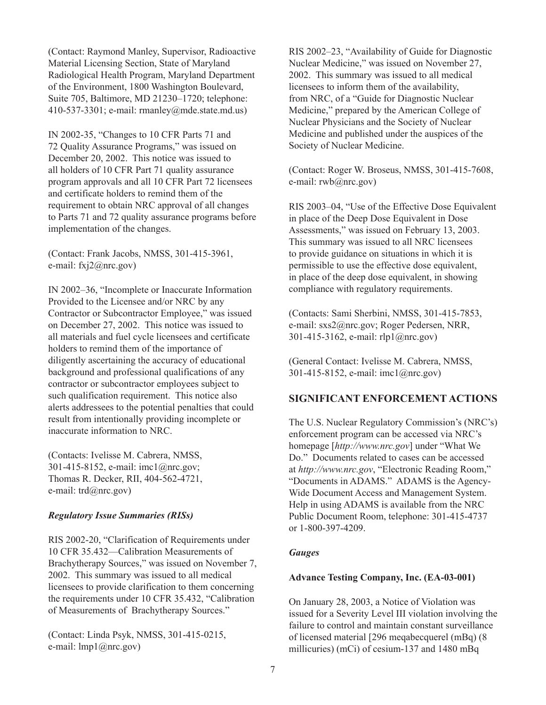(Contact: Raymond Manley, Supervisor, Radioactive Material Licensing Section, State of Maryland Radiological Health Program, Maryland Department of the Environment, 1800 Washington Boulevard, Suite 705, Baltimore, MD 21230–1720; telephone: 410-537-3301; e-mail: rmanley@mde.state.md.us)

IN 2002-35, "Changes to 10 CFR Parts 71 and 72 Quality Assurance Programs," was issued on December 20, 2002. This notice was issued to all holders of 10 CFR Part 71 quality assurance program approvals and all 10 CFR Part 72 licensees and certificate holders to remind them of the requirement to obtain NRC approval of all changes to Parts 71 and 72 quality assurance programs before implementation of the changes.

(Contact: Frank Jacobs, NMSS, 301-415-3961, e-mail: fxj2@nrc.gov)

IN 2002–36, "Incomplete or Inaccurate Information Provided to the Licensee and/or NRC by any Contractor or Subcontractor Employee," was issued on December 27, 2002. This notice was issued to all materials and fuel cycle licensees and certificate holders to remind them of the importance of diligently ascertaining the accuracy of educational background and professional qualifications of any contractor or subcontractor employees subject to such qualification requirement. This notice also alerts addressees to the potential penalties that could result from intentionally providing incomplete or inaccurate information to NRC.

(Contacts: Ivelisse M. Cabrera, NMSS, 301-415-8152, e-mail: imc1@nrc.gov; Thomas R. Decker, RII, 404-562-4721, e-mail: trd@nrc.gov)

#### *Regulatory Issue Summaries (RISs)*

RIS 2002-20, "Clarification of Requirements under 10 CFR 35.432—Calibration Measurements of Brachytherapy Sources," was issued on November 7, 2002. This summary was issued to all medical licensees to provide clarification to them concerning the requirements under 10 CFR 35.432, "Calibration of Measurements of Brachytherapy Sources."

(Contact: Linda Psyk, NMSS, 301-415-0215, e-mail: lmp1@nrc.gov)

RIS 2002–23, "Availability of Guide for Diagnostic Nuclear Medicine," was issued on November 27, 2002. This summary was issued to all medical licensees to inform them of the availability, from NRC, of a "Guide for Diagnostic Nuclear Medicine," prepared by the American College of Nuclear Physicians and the Society of Nuclear Medicine and published under the auspices of the Society of Nuclear Medicine.

(Contact: Roger W. Broseus, NMSS, 301-415-7608, e-mail: rwb@nrc.gov)

RIS 2003–04, "Use of the Effective Dose Equivalent in place of the Deep Dose Equivalent in Dose Assessments," was issued on February 13, 2003. This summary was issued to all NRC licensees to provide guidance on situations in which it is permissible to use the effective dose equivalent, in place of the deep dose equivalent, in showing compliance with regulatory requirements.

(Contacts: Sami Sherbini, NMSS, 301-415-7853, e-mail: sxs2@nrc.gov; Roger Pedersen, NRR, 301-415-3162, e-mail: rlp1@nrc.gov)

(General Contact: Ivelisse M. Cabrera, NMSS, 301-415-8152, e-mail: imc1@nrc.gov)

#### **SIGNIFICANT ENFORCEMENT ACTIONS**

The U.S. Nuclear Regulatory Commission's (NRC's) enforcement program can be accessed via NRC's homepage [*http://www.nrc.gov*] under "What We Do." Documents related to cases can be accessed at *http://www.nrc.gov*, "Electronic Reading Room," "Documents in ADAMS." ADAMS is the Agency-Wide Document Access and Management System. Help in using ADAMS is available from the NRC Public Document Room, telephone: 301-415-4737 or 1-800-397-4209.

#### *Gauges*

#### **Advance Testing Company, Inc. (EA-03-001)**

On January 28, 2003, a Notice of Violation was issued for a Severity Level III violation involving the failure to control and maintain constant surveillance of licensed material [296 meqabecquerel (mBq) (8 millicuries) (mCi) of cesium-137 and 1480 mBq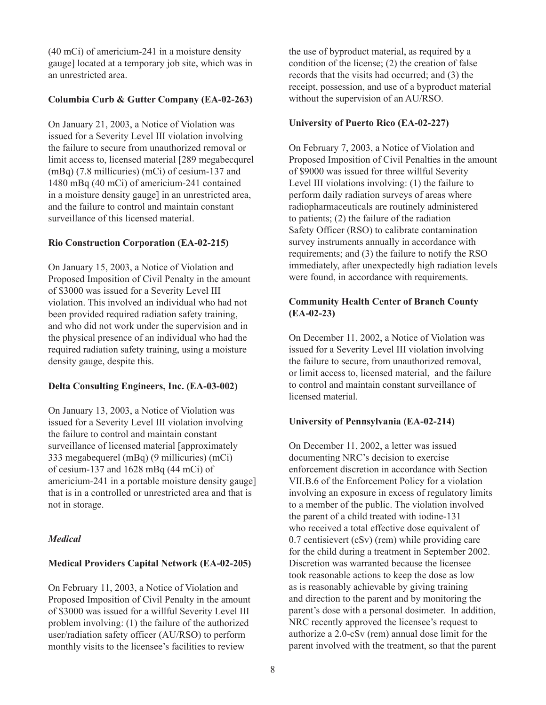(40 mCi) of americium-241 in a moisture density gauge] located at a temporary job site, which was in an unrestricted area.

### **Columbia Curb & Gutter Company (EA-02-263)**

On January 21, 2003, a Notice of Violation was issued for a Severity Level III violation involving the failure to secure from unauthorized removal or limit access to, licensed material [289 megabecqurel (mBq) (7.8 millicuries) (mCi) of cesium-137 and 1480 mBq (40 mCi) of americium-241 contained in a moisture density gauge] in an unrestricted area, and the failure to control and maintain constant surveillance of this licensed material.

## **Rio Construction Corporation (EA-02-215)**

On January 15, 2003, a Notice of Violation and Proposed Imposition of Civil Penalty in the amount of \$3000 was issued for a Severity Level III violation. This involved an individual who had not been provided required radiation safety training. and who did not work under the supervision and in the physical presence of an individual who had the required radiation safety training, using a moisture density gauge, despite this.

# **Delta Consulting Engineers, Inc. (EA-03-002)**

On January 13, 2003, a Notice of Violation was issued for a Severity Level III violation involving the failure to control and maintain constant surveillance of licensed material [approximately 333 megabequerel (mBq) (9 millicuries) (mCi) of cesium-137 and 1628 mBq (44 mCi) of americium-241 in a portable moisture density gauge] that is in a controlled or unrestricted area and that is not in storage.

# *Medical*

# **Medical Providers Capital Network (EA-02-205)**

On February 11, 2003, a Notice of Violation and Proposed Imposition of Civil Penalty in the amount of \$3000 was issued for a willful Severity Level III problem involving: (1) the failure of the authorized user/radiation safety officer (AU/RSO) to perform monthly visits to the licensee's facilities to review

the use of byproduct material, as required by a condition of the license; (2) the creation of false records that the visits had occurred; and (3) the receipt, possession, and use of a byproduct material without the supervision of an AU/RSO.

# **University of Puerto Rico (EA-02-227)**

On February 7, 2003, a Notice of Violation and Proposed Imposition of Civil Penalties in the amount of \$9000 was issued for three willful Severity Level III violations involving: (1) the failure to perform daily radiation surveys of areas where radiopharmaceuticals are routinely administered to patients; (2) the failure of the radiation Safety Officer (RSO) to calibrate contamination survey instruments annually in accordance with requirements; and (3) the failure to notify the RSO immediately, after unexpectedly high radiation levels were found, in accordance with requirements.

# **Community Health Center of Branch County (EA-02-23)**

On December 11, 2002, a Notice of Violation was issued for a Severity Level III violation involving the failure to secure, from unauthorized removal, or limit access to, licensed material, and the failure to control and maintain constant surveillance of licensed material.

# **University of Pennsylvania (EA-02-214)**

On December 11, 2002, a letter was issued documenting NRC's decision to exercise enforcement discretion in accordance with Section VII.B.6 of the Enforcement Policy for a violation involving an exposure in excess of regulatory limits to a member of the public. The violation involved the parent of a child treated with iodine-131 who received a total effective dose equivalent of 0.7 centisievert (cSv) (rem) while providing care for the child during a treatment in September 2002. Discretion was warranted because the licensee took reasonable actions to keep the dose as low as is reasonably achievable by giving training and direction to the parent and by monitoring the parent's dose with a personal dosimeter. In addition, NRC recently approved the licensee's request to authorize a 2.0-cSv (rem) annual dose limit for the parent involved with the treatment, so that the parent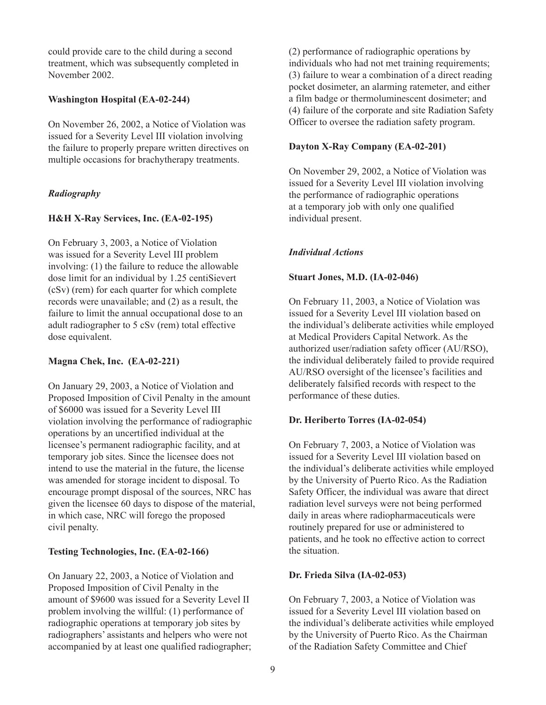could provide care to the child during a second treatment, which was subsequently completed in November 2002.

### **Washington Hospital (EA-02-244)**

On November 26, 2002, a Notice of Violation was issued for a Severity Level III violation involving the failure to properly prepare written directives on multiple occasions for brachytherapy treatments.

# *Radiography*

# **H&H X-Ray Services, Inc. (EA-02-195)**

On February 3, 2003, a Notice of Violation was issued for a Severity Level III problem involving: (1) the failure to reduce the allowable dose limit for an individual by 1.25 centiSievert (cSv) (rem) for each quarter for which complete records were unavailable; and (2) as a result, the failure to limit the annual occupational dose to an adult radiographer to 5 cSv (rem) total effective dose equivalent.

#### **Magna Chek, Inc. (EA-02-221)**

On January 29, 2003, a Notice of Violation and Proposed Imposition of Civil Penalty in the amount of \$6000 was issued for a Severity Level III violation involving the performance of radiographic operations by an uncertified individual at the licensee's permanent radiographic facility, and at temporary job sites. Since the licensee does not intend to use the material in the future, the license was amended for storage incident to disposal. To encourage prompt disposal of the sources, NRC has given the licensee 60 days to dispose of the material, in which case, NRC will forego the proposed civil penalty.

# **Testing Technologies, Inc. (EA-02-166)**

On January 22, 2003, a Notice of Violation and Proposed Imposition of Civil Penalty in the amount of \$9600 was issued for a Severity Level II problem involving the willful: (1) performance of radiographic operations at temporary job sites by radiographers' assistants and helpers who were not accompanied by at least one qualified radiographer; (2) performance of radiographic operations by individuals who had not met training requirements; (3) failure to wear a combination of a direct reading pocket dosimeter, an alarming ratemeter, and either a film badge or thermoluminescent dosimeter; and (4) failure of the corporate and site Radiation Safety Officer to oversee the radiation safety program.

# **Dayton X-Ray Company (EA-02-201)**

On November 29, 2002, a Notice of Violation was issued for a Severity Level III violation involving the performance of radiographic operations at a temporary job with only one qualified individual present.

# *Individual Actions*

## **Stuart Jones, M.D. (IA-02-046)**

On February 11, 2003, a Notice of Violation was issued for a Severity Level III violation based on the individual's deliberate activities while employed at Medical Providers Capital Network. As the authorized user/radiation safety officer (AU/RSO), the individual deliberately failed to provide required AU/RSO oversight of the licensee's facilities and deliberately falsified records with respect to the performance of these duties.

# **Dr. Heriberto Torres (IA-02-054)**

On February 7, 2003, a Notice of Violation was issued for a Severity Level III violation based on the individual's deliberate activities while employed by the University of Puerto Rico. As the Radiation Safety Officer, the individual was aware that direct radiation level surveys were not being performed daily in areas where radiopharmaceuticals were routinely prepared for use or administered to patients, and he took no effective action to correct the situation.

#### **Dr. Frieda Silva (IA-02-053)**

On February 7, 2003, a Notice of Violation was issued for a Severity Level III violation based on the individual's deliberate activities while employed by the University of Puerto Rico. As the Chairman of the Radiation Safety Committee and Chief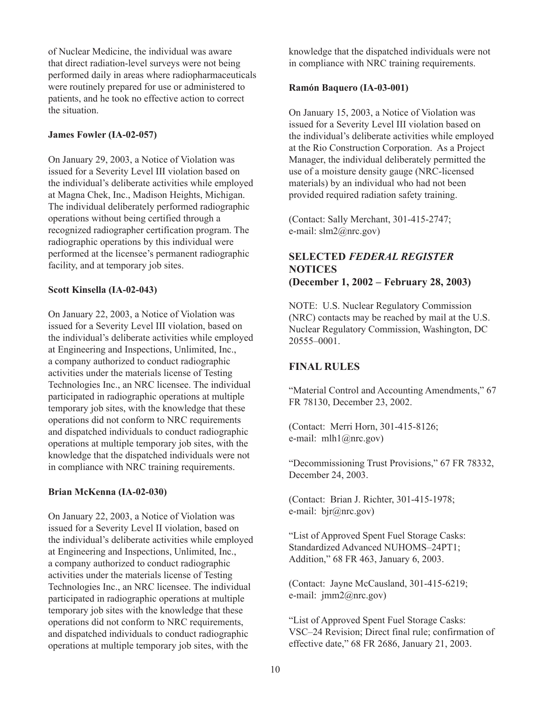of Nuclear Medicine, the individual was aware that direct radiation-level surveys were not being performed daily in areas where radiopharmaceuticals were routinely prepared for use or administered to patients, and he took no effective action to correct the situation.

## **James Fowler (IA-02-057)**

On January 29, 2003, a Notice of Violation was issued for a Severity Level III violation based on the individual's deliberate activities while employed at Magna Chek, Inc., Madison Heights, Michigan. The individual deliberately performed radiographic operations without being certified through a recognized radiographer certification program. The radiographic operations by this individual were performed at the licensee's permanent radiographic facility, and at temporary job sites.

## **Scott Kinsella (IA-02-043)**

On January 22, 2003, a Notice of Violation was issued for a Severity Level III violation, based on the individual's deliberate activities while employed at Engineering and Inspections, Unlimited, Inc., a company authorized to conduct radiographic activities under the materials license of Testing Technologies Inc., an NRC licensee. The individual participated in radiographic operations at multiple temporary job sites, with the knowledge that these operations did not conform to NRC requirements and dispatched individuals to conduct radiographic operations at multiple temporary job sites, with the knowledge that the dispatched individuals were not in compliance with NRC training requirements.

# **Brian McKenna (IA-02-030)**

On January 22, 2003, a Notice of Violation was issued for a Severity Level II violation, based on the individual's deliberate activities while employed at Engineering and Inspections, Unlimited, Inc., a company authorized to conduct radiographic activities under the materials license of Testing Technologies Inc., an NRC licensee. The individual participated in radiographic operations at multiple temporary job sites with the knowledge that these operations did not conform to NRC requirements, and dispatched individuals to conduct radiographic operations at multiple temporary job sites, with the

knowledge that the dispatched individuals were not in compliance with NRC training requirements.

## **Ramón Baquero (IA-03-001)**

On January 15, 2003, a Notice of Violation was issued for a Severity Level III violation based on the individual's deliberate activities while employed at the Rio Construction Corporation. As a Project Manager, the individual deliberately permitted the use of a moisture density gauge (NRC-licensed materials) by an individual who had not been provided required radiation safety training.

(Contact: Sally Merchant, 301-415-2747; e-mail: slm2@nrc.gov)

# **SELECTED** *FEDERAL REGISTER*  **NOTICES (December 1, 2002 – February 28, 2003)**

NOTE: U.S. Nuclear Regulatory Commission (NRC) contacts may be reached by mail at the U.S. Nuclear Regulatory Commission, Washington, DC 20555–0001.

# **FINAL RULES**

"Material Control and Accounting Amendments," 67 FR 78130, December 23, 2002.

(Contact: Merri Horn, 301-415-8126; e-mail: mlh1@nrc.gov)

"Decommissioning Trust Provisions," 67 FR 78332, December 24, 2003.

(Contact: Brian J. Richter, 301-415-1978; e-mail: bjr@nrc.gov)

"List of Approved Spent Fuel Storage Casks: Standardized Advanced NUHOMS–24PT1; Addition," 68 FR 463, January 6, 2003.

(Contact: Jayne McCausland, 301-415-6219; e-mail: jmm2@nrc.gov)

"List of Approved Spent Fuel Storage Casks: VSC–24 Revision; Direct final rule; confirmation of effective date," 68 FR 2686, January 21, 2003.